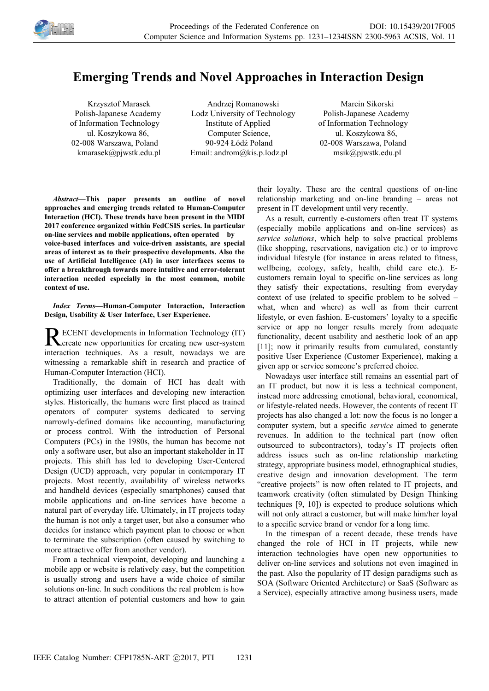

## **Emerging Trends and Novel Approaches in Interaction Design**

Krzysztof Marasek Polish-Japanese Academy of Information Technology ul. Koszykowa 86, 02-008 Warszawa, Poland kmarasek@pjwstk.edu.pl

Andrzej Romanowski Lodz University of Technology Institute of Applied Computer Science, 90-924 Łódź Poland Email: androm@kis.p.lodz.pl

Marcin Sikorski Polish-Japanese Academy of Information Technology ul. Koszykowa 86, 02-008 Warszawa, Poland msik@pjwstk.edu.pl

*Abstract—***This paper presents an outline of novel approaches and emerging trends related to Human-Computer Interaction (HCI). These trends have been present in the MIDI 2017 conference organized within FedCSIS series. In particular on-line services and mobile applications, often operated by voice-based interfaces and voice-driven assistants, are special areas of interest as to their prospective developments. Also the use of Artificial Intelligence (AI) in user interfaces seems to offer a breakthrough towards more intuitive and error-tolerant interaction needed especially in the most common, mobile context of use.** 

*Index Terms—***Human-Computer Interaction, Interaction Design, Usability & User Interface, User Experience.**

ECENT developments in Information Technology (IT) RECENT developments in Information Technology (IT)<br>Create new opportunities for creating new user-system interaction techniques. As a result, nowadays we are witnessing a remarkable shift in research and practice of Human-Computer Interaction (HCI).

Traditionally, the domain of HCI has dealt with optimizing user interfaces and developing new interaction styles. Historically, the humans were first placed as trained operators of computer systems dedicated to serving narrowly-defined domains like accounting, manufacturing or process control. With the introduction of Personal Computers (PCs) in the 1980s, the human has become not only a software user, but also an important stakeholder in IT projects. This shift has led to developing User-Centered Design (UCD) approach, very popular in contemporary IT projects. Most recently, availability of wireless networks and handheld devices (especially smartphones) caused that mobile applications and on-line services have become a natural part of everyday life. Ultimately, in IT projects today the human is not only a target user, but also a consumer who decides for instance which payment plan to choose or when to terminate the subscription (often caused by switching to more attractive offer from another vendor).

From a technical viewpoint, developing and launching a mobile app or website is relatively easy, but the competition is usually strong and users have a wide choice of similar solutions on-line. In such conditions the real problem is how to attract attention of potential customers and how to gain their loyalty. These are the central questions of on-line relationship marketing and on-line branding – areas not present in IT development until very recently.

As a result, currently e-customers often treat IT systems (especially mobile applications and on-line services) as *service solutions*, which help to solve practical problems (like shopping, reservations, navigation etc.) or to improve individual lifestyle (for instance in areas related to fitness, wellbeing, ecology, safety, health, child care etc.). Ecustomers remain loyal to specific on-line services as long they satisfy their expectations, resulting from everyday context of use (related to specific problem to be solved – what, when and where) as well as from their current lifestyle, or even fashion. E-customers' loyalty to a specific service or app no longer results merely from adequate functionality, decent usability and aesthetic look of an app [11]; now it primarily results from cumulated, constantly positive User Experience (Customer Experience), making a given app or service someone's preferred choice.

Nowadays user interface still remains an essential part of an IT product, but now it is less a technical component, instead more addressing emotional, behavioral, economical, or lifestyle-related needs. However, the contents of recent IT projects has also changed a lot: now the focus is no longer a computer system, but a specific *service* aimed to generate revenues. In addition to the technical part (now often outsourced to subcontractors), today's IT projects often address issues such as on-line relationship marketing strategy, appropriate business model, ethnographical studies, creative design and innovation development. The term "creative projects" is now often related to IT projects, and teamwork creativity (often stimulated by Design Thinking techniques [9, 10]) is expected to produce solutions which will not only attract a customer, but will make him/her loyal to a specific service brand or vendor for a long time.

In the timespan of a recent decade, these trends have changed the role of HCI in IT projects, while new interaction technologies have open new opportunities to deliver on-line services and solutions not even imagined in the past. Also the popularity of IT design paradigms such as SOA (Software Oriented Architecture) or SaaS (Software as a Service), especially attractive among business users, made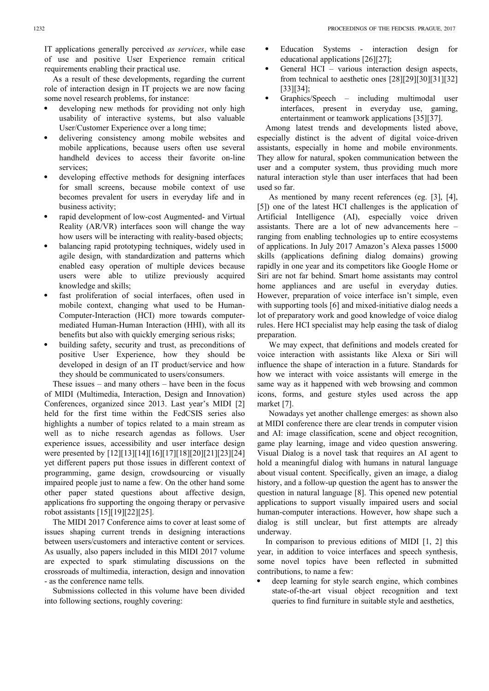IT applications generally perceived *as services*, while ease of use and positive User Experience remain critical requirements enabling their practical use.

As a result of these developments, regarding the current role of interaction design in IT projects we are now facing some novel research problems, for instance:

- developing new methods for providing not only high usability of interactive systems, but also valuable User/Customer Experience over a long time;
- delivering consistency among mobile websites and mobile applications, because users often use several handheld devices to access their favorite on-line services;
- developing effective methods for designing interfaces for small screens, because mobile context of use becomes prevalent for users in everyday life and in business activity;
- rapid development of low-cost Augmented- and Virtual Reality (AR/VR) interfaces soon will change the way how users will be interacting with reality-based objects;
- balancing rapid prototyping techniques, widely used in agile design, with standardization and patterns which enabled easy operation of multiple devices because users were able to utilize previously acquired knowledge and skills;
- fast proliferation of social interfaces, often used in mobile context, changing what used to be Human-Computer-Interaction (HCI) more towards computermediated Human-Human Interaction (HHI), with all its benefits but also with quickly emerging serious risks;
- building safety, security and trust, as preconditions of positive User Experience, how they should be developed in design of an IT product/service and how they should be communicated to users/consumers.

These issues – and many others – have been in the focus of MIDI (Multimedia, Interaction, Design and Innovation) Conferences, organized since 2013. Last year's MIDI [2] held for the first time within the FedCSIS series also highlights a number of topics related to a main stream as well as to niche research agendas as follows. User experience issues, accessibility and user interface design were presented by [12][13][14][16][17][18][20][21][23][24] yet different papers put those issues in different context of programming, game design, crowdsourcing or visually impaired people just to name a few. On the other hand some other paper stated questions about affective design, applications fro supporting the ongoing therapy or pervasive robot assistants [15][19][22][25].

The MIDI 2017 Conference aims to cover at least some of issues shaping current trends in designing interactions between users/customers and interactive content or services. As usually, also papers included in this MIDI 2017 volume are expected to spark stimulating discussions on the crossroads of multimedia, interaction, design and innovation - as the conference name tells.

Submissions collected in this volume have been divided into following sections, roughly covering:

- Education Systems interaction design for educational applications [26][27];
- General HCI various interaction design aspects, from technical to aesthetic ones [28][29][30][31][32] [33][34];
- Graphics/Speech including multimodal user interfaces, present in everyday use, gaming, entertainment or teamwork applications [35][37].

Among latest trends and developments listed above, especially distinct is the advent of digital voice-driven assistants, especially in home and mobile environments. They allow for natural, spoken communication between the user and a computer system, thus providing much more natural interaction style than user interfaces that had been used so far.

As mentioned by many recent references (eg. [3], [4], [5]) one of the latest HCI challenges is the application of Artificial Intelligence (AI), especially voice driven assistants. There are a lot of new advancements here – ranging from enabling technologies up to entire ecosystems of applications. In July 2017 Amazon's Alexa passes 15000 skills (applications defining dialog domains) growing rapidly in one year and its competitors like Google Home or Siri are not far behind. Smart home assistants may control home appliances and are useful in everyday duties. However, preparation of voice interface isn't simple, even with supporting tools [6] and mixed-initiative dialog needs a lot of preparatory work and good knowledge of voice dialog rules. Here HCI specialist may help easing the task of dialog preparation.

We may expect, that definitions and models created for voice interaction with assistants like Alexa or Siri will influence the shape of interaction in a future. Standards for how we interact with voice assistants will emerge in the same way as it happened with web browsing and common icons, forms, and gesture styles used across the app market [7].

Nowadays yet another challenge emerges: as shown also at MIDI conference there are clear trends in computer vision and AI: image classification, scene and object recognition, game play learning, image and video question answering. Visual Dialog is a novel task that requires an AI agent to hold a meaningful dialog with humans in natural language about visual content. Specifically, given an image, a dialog history, and a follow-up question the agent has to answer the question in natural language [8]. This opened new potential applications to support visually impaired users and social human-computer interactions. However, how shape such a dialog is still unclear, but first attempts are already underway.

In comparison to previous editions of MIDI [1, 2] this year, in addition to voice interfaces and speech synthesis, some novel topics have been reflected in submitted contributions, to name a few:

 deep learning for style search engine, which combines state-of-the-art visual object recognition and text queries to find furniture in suitable style and aesthetics,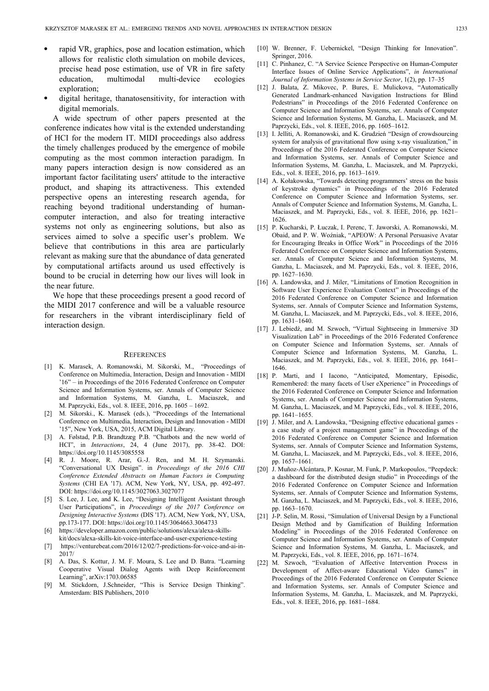- rapid VR, graphics, pose and location estimation, which allows for realistic cloth simulation on mobile devices, precise head pose estimation, use of VR in fire safety education, multimodal multi-device ecologies exploration;
- digital heritage, thanatosensitivity, for interaction with digital memorials.

A wide spectrum of other papers presented at the conference indicates how vital is the extended understanding of HCI for the modern IT. MIDI proceedings also address the timely challenges produced by the emergence of mobile computing as the most common interaction paradigm. In many papers interaction design is now considered as an important factor facilitating users' attitude to the interactive product, and shaping its attractiveness. This extended perspective opens an interesting research agenda, for reaching beyond traditional understanding of humancomputer interaction, and also for treating interactive systems not only as engineering solutions, but also as services aimed to solve a specific user's problem. We believe that contributions in this area are particularly relevant as making sure that the abundance of data generated by computational artifacts around us used effectively is bound to be crucial in deterring how our lives will look in the near future.

We hope that these proceedings present a good record of the MIDI 2017 conference and will be a valuable resource for researchers in the vibrant interdisciplinary field of interaction design.

## **REFERENCES**

- [1] K. Marasek, A. Romanowski, M. Sikorski, M., "Proceedings of Conference on Multimedia, Interaction, Design and Innovation - MIDI '16" – in Proceedings of the 2016 Federated Conference on Computer Science and Information Systems, ser. Annals of Computer Science and Information Systems, M. Ganzha, L. Maciaszek, and M. Paprzycki, Eds., vol. 8. IEEE, 2016, pp. 1605 – 1692.
- [2] M. Sikorski., K. Marasek (eds.), "Proceedings of the International Conference on Multimedia, Interaction, Design and Innovation - MIDI '15", New York, USA, 2015, ACM Digital Library.
- [3] A. Følstad, P.B. Brandtzæg P.B. "Chatbots and the new world of HCI", in *Interactions*, 24, 4 (June 2017), pp. 38-42. DOI: https://doi.org/10.1145/3085558
- [4] R. J. Moore, R. Arar, G.-J. Ren, and M. H. Szymanski. "Conversational UX Design". in *Proceedings of the 2016 CHI Conference Extended Abstracts on Human Factors in Computing Systems* (CHI EA '17). ACM, New York, NY, USA, pp. 492-497. DOI: https://doi.org/10.1145/3027063.3027077
- [5] S. Lee, J. Lee, and K. Lee, "Designing Intelligent Assistant through User Participations", in *Proceedings of the 2017 Conference on Designing Interactive Systems* (DIS '17). ACM, New York, NY, USA, pp.173-177. DOI: https://doi.org/10.1145/3064663.3064733
- [6] https://developer.amazon.com/public/solutions/alexa/alexa-skillskit/docs/alexa-skills-kit-voice-interface-and-user-experience-testing
- [7] https://venturebeat.com/2016/12/02/7-predictions-for-voice-and-ai-in-2017/
- [8] A. Das, S. Kottur, J. M. F. Moura, S. Lee and D. Batra. "Learning Cooperative Visual Dialog Agents with Deep Reinforcement Learning", arXiv:1703.06585
- [9] M. Stickdorn, J.Schneider, "This is Service Design Thinking". Amsterdam: BIS Publishers, 2010
- [10] W. Brenner, F. Uebernickel, "Design Thinking for Innovation". Springer, 2016.
- [11] C. Pinhanez, C. "A Service Science Perspective on Human-Computer Interface Issues of Online Service Applications", *in International Journal of Information Systems in Service Sector*, 1(2), pp. 17–35
- [12] J. Balata, Z. Mikovec, P. Bures, E. Mulickova, Generated Landmark-enhanced Navigation Instructions for Blind Pedestrians" in Proceedings of the 2016 Federated Conference on Computer Science and Information Systems, ser. Annals of Computer Science and Information Systems, M. Ganzha, L. Maciaszek, and M. Paprzycki, Eds., vol. 8. IEEE, 2016, pp. 1605–1612.
- [13] I. Jelliti, A. Romanowski, and K. Grudzień "Design of crowdsourcing system for analysis of gravitational flow using x-ray visualization," in Proceedings of the 2016 Federated Conference on Computer Science and Information Systems, ser. Annals of Computer Science and Information Systems, M. Ganzha, L. Maciaszek, and M. Paprzycki, Eds., vol. 8. IEEE, 2016, pp. 1613–1619.
- [14] A. Kołakowska, "Towards detecting programmers' stress on the basis of keystroke dynamics" in Proceedings of the 2016 Federated Conference on Computer Science and Information Systems, ser. Annals of Computer Science and Information Systems, M. Ganzha, L. Maciaszek, and M. Paprzycki, Eds., vol. 8. IEEE, 2016, pp. 1621– 1626.
- [15] P. Kucharski, P. Łuczak, I. Perenc, T. Jaworski, A. Romanowski, M. Obaid, and P. W. Woźniak, "APEOW: A Personal Persuasive Avatar for Encouraging Breaks in Office Work" in Proceedings of the 2016 Federated Conference on Computer Science and Information Systems, ser. Annals of Computer Science and Information Systems, M. Ganzha, L. Maciaszek, and M. Paprzycki, Eds., vol. 8. IEEE, 2016, pp. 1627–1630.
- [16] A. Landowska, and J. Miler, "Limitations of Emotion Recognition in Software User Experience Evaluation Context" in Proceedings of the 2016 Federated Conference on Computer Science and Information Systems, ser. Annals of Computer Science and Information Systems, M. Ganzha, L. Maciaszek, and M. Paprzycki, Eds., vol. 8. IEEE, 2016, pp. 1631–1640.
- [17] J. Lebiedź, and M. Szwoch, "Virtual Sightseeing in Immersive 3D Visualization Lab" in Proceedings of the 2016 Federated Conference on Computer Science and Information Systems, ser. Annals of Computer Science and Information Systems, M. Ganzha, L. Maciaszek, and M. Paprzycki, Eds., vol. 8. IEEE, 2016, pp. 1641– 1646.
- [18] P. Marti, and I Iacono, "Anticipated, Momentary, Episodic, Remembered: the many facets of User eXperience" in Proceedings of the 2016 Federated Conference on Computer Science and Information Systems, ser. Annals of Computer Science and Information Systems, M. Ganzha, L. Maciaszek, and M. Paprzycki, Eds., vol. 8. IEEE, 2016, pp. 1641–1655.
- [19] J. Miler, and A. Landowska, "Designing effective educational games a case study of a project management game" in Proceedings of the 2016 Federated Conference on Computer Science and Information Systems, ser. Annals of Computer Science and Information Systems, M. Ganzha, L. Maciaszek, and M. Paprzycki, Eds., vol. 8. IEEE, 2016, pp. 1657–1661.
- [20] J. Muñoz-Alcántara, P. Kosnar, M. Funk, P. Markopoulos, "Peepdeck: a dashboard for the distributed design studio" in Proceedings of the 2016 Federated Conference on Computer Science and Information Systems, ser. Annals of Computer Science and Information Systems, M. Ganzha, L. Maciaszek, and M. Paprzycki, Eds., vol. 8. IEEE, 2016, pp. 1663–1670.
- [21] J-P. Selin, M. Rossi, "Simulation of Universal Design by a Functional Design Method and by Gamification of Building Information Modeling" in Proceedings of the 2016 Federated Conference on Computer Science and Information Systems, ser. Annals of Computer Science and Information Systems, M. Ganzha, L. Maciaszek, and M. Paprzycki, Eds., vol. 8. IEEE, 2016, pp. 1671–1674.
- [22] M. Szwoch, "Evaluation of Affective Intervention Process in Development of Affect-aware Educational Video Games" in Proceedings of the 2016 Federated Conference on Computer Science and Information Systems, ser. Annals of Computer Science and Information Systems, M. Ganzha, L. Maciaszek, and M. Paprzycki, Eds., vol. 8. IEEE, 2016, pp. 1681–1684.